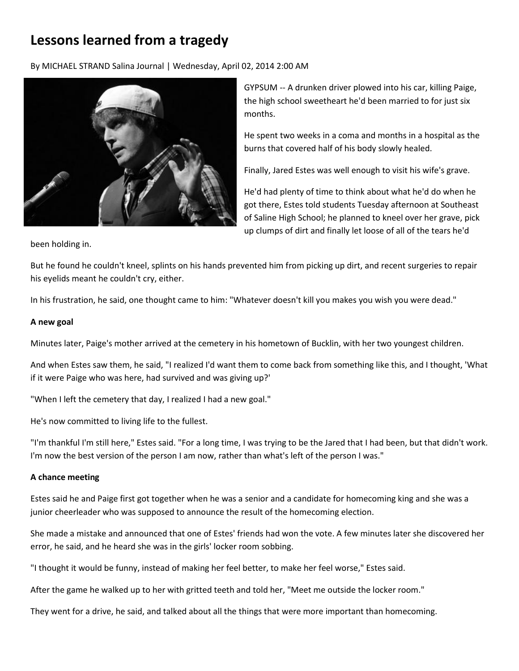# **Lessons learned from a tragedy**

By MICHAEL STRAND Salina Journal | Wednesday, April 02, 2014 2:00 AM



GYPSUM -- A drunken driver plowed into his car, killing Paige, the high school sweetheart he'd been married to for just six months.

He spent two weeks in a coma and months in a hospital as the burns that covered half of his body slowly healed.

Finally, Jared Estes was well enough to visit his wife's grave.

He'd had plenty of time to think about what he'd do when he got there, Estes told students Tuesday afternoon at Southeast of Saline High School; he planned to kneel over her grave, pick up clumps of dirt and finally let loose of all of the tears he'd

been holding in.

But he found he couldn't kneel, splints on his hands prevented him from picking up dirt, and recent surgeries to repair his eyelids meant he couldn't cry, either.

In his frustration, he said, one thought came to him: "Whatever doesn't kill you makes you wish you were dead."

### **A new goal**

Minutes later, Paige's mother arrived at the cemetery in his hometown of Bucklin, with her two youngest children.

And when Estes saw them, he said, "I realized I'd want them to come back from something like this, and I thought, 'What if it were Paige who was here, had survived and was giving up?'

"When I left the cemetery that day, I realized I had a new goal."

He's now committed to living life to the fullest.

"I'm thankful I'm still here," Estes said. "For a long time, I was trying to be the Jared that I had been, but that didn't work. I'm now the best version of the person I am now, rather than what's left of the person I was."

### **A chance meeting**

Estes said he and Paige first got together when he was a senior and a candidate for homecoming king and she was a junior cheerleader who was supposed to announce the result of the homecoming election.

She made a mistake and announced that one of Estes' friends had won the vote. A few minutes later she discovered her error, he said, and he heard she was in the girls' locker room sobbing.

"I thought it would be funny, instead of making her feel better, to make her feel worse," Estes said.

After the game he walked up to her with gritted teeth and told her, "Meet me outside the locker room."

They went for a drive, he said, and talked about all the things that were more important than homecoming.